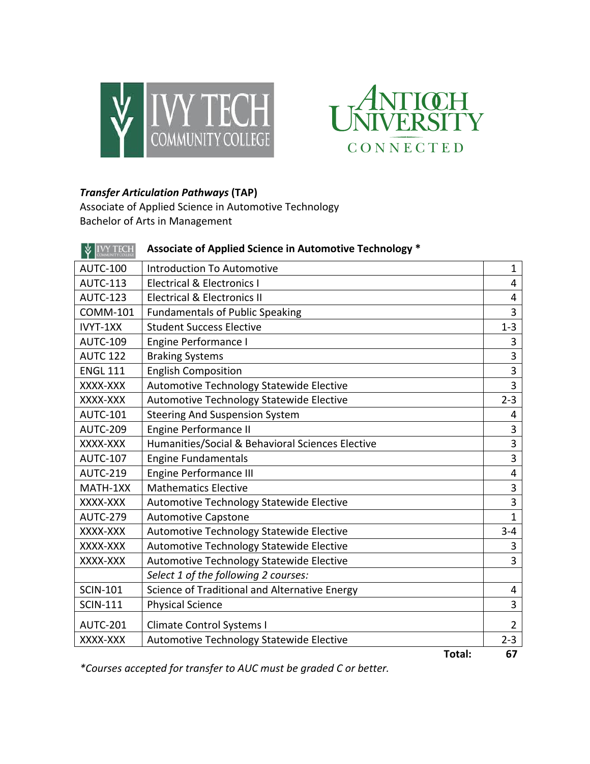



## *Transfer Articulation Pathways* **(TAP)**

Associate of Applied Science in Automotive Technology Bachelor of Arts in Management

| <b>V</b> IVY TECH | Associate of Applied Science in Automotive Technology * |                |
|-------------------|---------------------------------------------------------|----------------|
| <b>AUTC-100</b>   | <b>Introduction To Automotive</b>                       | $\mathbf{1}$   |
| <b>AUTC-113</b>   | <b>Electrical &amp; Electronics I</b>                   | 4              |
| <b>AUTC-123</b>   | <b>Electrical &amp; Electronics II</b>                  | 4              |
| <b>COMM-101</b>   | <b>Fundamentals of Public Speaking</b>                  | 3              |
| IVYT-1XX          | <b>Student Success Elective</b>                         | $1 - 3$        |
| <b>AUTC-109</b>   | Engine Performance I                                    | 3              |
| <b>AUTC 122</b>   | <b>Braking Systems</b>                                  | 3              |
| <b>ENGL 111</b>   | <b>English Composition</b>                              | 3              |
| XXXX-XXX          | Automotive Technology Statewide Elective                | $\overline{3}$ |
| XXXX-XXX          | Automotive Technology Statewide Elective                |                |
| <b>AUTC-101</b>   | <b>Steering And Suspension System</b>                   | 4              |
| <b>AUTC-209</b>   | <b>Engine Performance II</b>                            | 3              |
| XXXX-XXX          | Humanities/Social & Behavioral Sciences Elective        | 3              |
| <b>AUTC-107</b>   | <b>Engine Fundamentals</b>                              | 3              |
| <b>AUTC-219</b>   | <b>Engine Performance III</b>                           | 4              |
| MATH-1XX          | <b>Mathematics Elective</b>                             | 3              |
| XXXX-XXX          | Automotive Technology Statewide Elective                | 3              |
| <b>AUTC-279</b>   | <b>Automotive Capstone</b>                              | $\mathbf{1}$   |
| XXXX-XXX          | Automotive Technology Statewide Elective                | $3 - 4$        |
| XXXX-XXX          | Automotive Technology Statewide Elective                | 3              |
| XXXX-XXX          | Automotive Technology Statewide Elective                | 3              |
|                   | Select 1 of the following 2 courses:                    |                |
| <b>SCIN-101</b>   | Science of Traditional and Alternative Energy           | 4              |
| <b>SCIN-111</b>   | <b>Physical Science</b>                                 | 3              |
| <b>AUTC-201</b>   | <b>Climate Control Systems I</b>                        | $\overline{2}$ |
| XXXX-XXX          | Automotive Technology Statewide Elective                | $2 - 3$        |
|                   | Total:                                                  | 67             |

*\*Courses accepted for transfer to AUC must be graded C or better.*